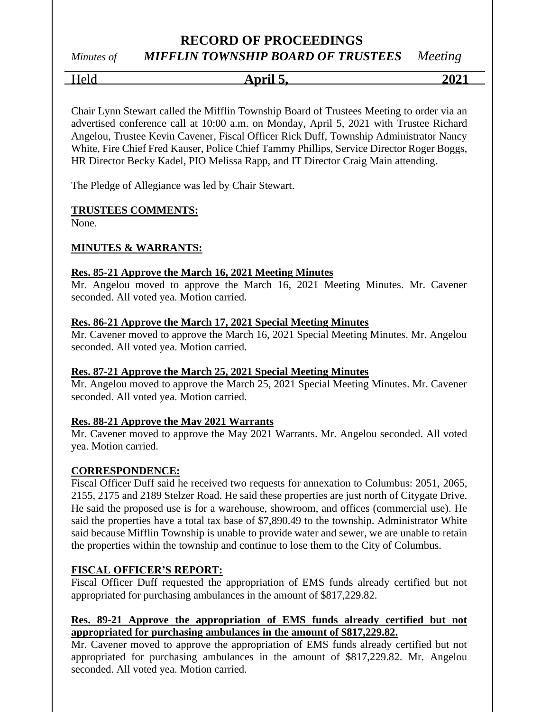## *Minutes of MIFFLIN TOWNSHIP BOARD OF TRUSTEES Meeting*

Held **April 5, 2021**

Chair Lynn Stewart called the Mifflin Township Board of Trustees Meeting to order via an advertised conference call at 10:00 a.m. on Monday, April 5, 2021 with Trustee Richard Angelou, Trustee Kevin Cavener, Fiscal Officer Rick Duff, Township Administrator Nancy White, Fire Chief Fred Kauser, Police Chief Tammy Phillips, Service Director Roger Boggs, HR Director Becky Kadel, PIO Melissa Rapp, and IT Director Craig Main attending.

The Pledge of Allegiance was led by Chair Stewart.

#### **TRUSTEES COMMENTS:**

None.

#### **MINUTES & WARRANTS:**

#### **Res. 85-21 Approve the March 16, 2021 Meeting Minutes**

Mr. Angelou moved to approve the March 16, 2021 Meeting Minutes. Mr. Cavener seconded. All voted yea. Motion carried.

#### **Res. 86-21 Approve the March 17, 2021 Special Meeting Minutes**

Mr. Cavener moved to approve the March 16, 2021 Special Meeting Minutes. Mr. Angelou seconded. All voted yea. Motion carried.

#### **Res. 87-21 Approve the March 25, 2021 Special Meeting Minutes**

Mr. Angelou moved to approve the March 25, 2021 Special Meeting Minutes. Mr. Cavener seconded. All voted yea. Motion carried.

#### **Res. 88-21 Approve the May 2021 Warrants**

Mr. Cavener moved to approve the May 2021 Warrants. Mr. Angelou seconded. All voted yea. Motion carried.

#### **CORRESPONDENCE:**

Fiscal Officer Duff said he received two requests for annexation to Columbus: 2051, 2065, 2155, 2175 and 2189 Stelzer Road. He said these properties are just north of Citygate Drive. He said the proposed use is for a warehouse, showroom, and offices (commercial use). He said the properties have a total tax base of \$7,890.49 to the township. Administrator White said because Mifflin Township is unable to provide water and sewer, we are unable to retain the properties within the township and continue to lose them to the City of Columbus.

#### **FISCAL OFFICER'S REPORT:**

Fiscal Officer Duff requested the appropriation of EMS funds already certified but not appropriated for purchasing ambulances in the amount of \$817,229.82.

#### **Res. 89-21 Approve the appropriation of EMS funds already certified but not appropriated for purchasing ambulances in the amount of \$817,229.82.**

Mr. Cavener moved to approve the appropriation of EMS funds already certified but not appropriated for purchasing ambulances in the amount of \$817,229.82. Mr. Angelou seconded. All voted yea. Motion carried.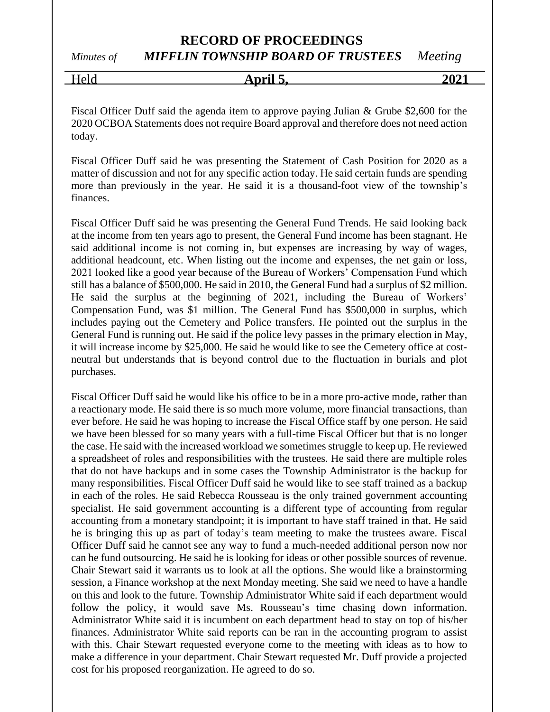*Minutes of MIFFLIN TOWNSHIP BOARD OF TRUSTEES Meeting*

| Held | April. | $202^{\degree}$ |
|------|--------|-----------------|
|      |        |                 |

Fiscal Officer Duff said the agenda item to approve paying Julian & Grube \$2,600 for the 2020 OCBOA Statements does not require Board approval and therefore does not need action today.

Fiscal Officer Duff said he was presenting the Statement of Cash Position for 2020 as a matter of discussion and not for any specific action today. He said certain funds are spending more than previously in the year. He said it is a thousand-foot view of the township's finances.

Fiscal Officer Duff said he was presenting the General Fund Trends. He said looking back at the income from ten years ago to present, the General Fund income has been stagnant. He said additional income is not coming in, but expenses are increasing by way of wages, additional headcount, etc. When listing out the income and expenses, the net gain or loss, 2021 looked like a good year because of the Bureau of Workers' Compensation Fund which still has a balance of \$500,000. He said in 2010, the General Fund had a surplus of \$2 million. He said the surplus at the beginning of 2021, including the Bureau of Workers' Compensation Fund, was \$1 million. The General Fund has \$500,000 in surplus, which includes paying out the Cemetery and Police transfers. He pointed out the surplus in the General Fund is running out. He said if the police levy passes in the primary election in May, it will increase income by \$25,000. He said he would like to see the Cemetery office at costneutral but understands that is beyond control due to the fluctuation in burials and plot purchases.

Fiscal Officer Duff said he would like his office to be in a more pro-active mode, rather than a reactionary mode. He said there is so much more volume, more financial transactions, than ever before. He said he was hoping to increase the Fiscal Office staff by one person. He said we have been blessed for so many years with a full-time Fiscal Officer but that is no longer the case. He said with the increased workload we sometimes struggle to keep up. He reviewed a spreadsheet of roles and responsibilities with the trustees. He said there are multiple roles that do not have backups and in some cases the Township Administrator is the backup for many responsibilities. Fiscal Officer Duff said he would like to see staff trained as a backup in each of the roles. He said Rebecca Rousseau is the only trained government accounting specialist. He said government accounting is a different type of accounting from regular accounting from a monetary standpoint; it is important to have staff trained in that. He said he is bringing this up as part of today's team meeting to make the trustees aware. Fiscal Officer Duff said he cannot see any way to fund a much-needed additional person now nor can he fund outsourcing. He said he is looking for ideas or other possible sources of revenue. Chair Stewart said it warrants us to look at all the options. She would like a brainstorming session, a Finance workshop at the next Monday meeting. She said we need to have a handle on this and look to the future. Township Administrator White said if each department would follow the policy, it would save Ms. Rousseau's time chasing down information. Administrator White said it is incumbent on each department head to stay on top of his/her finances. Administrator White said reports can be ran in the accounting program to assist with this. Chair Stewart requested everyone come to the meeting with ideas as to how to make a difference in your department. Chair Stewart requested Mr. Duff provide a projected cost for his proposed reorganization. He agreed to do so.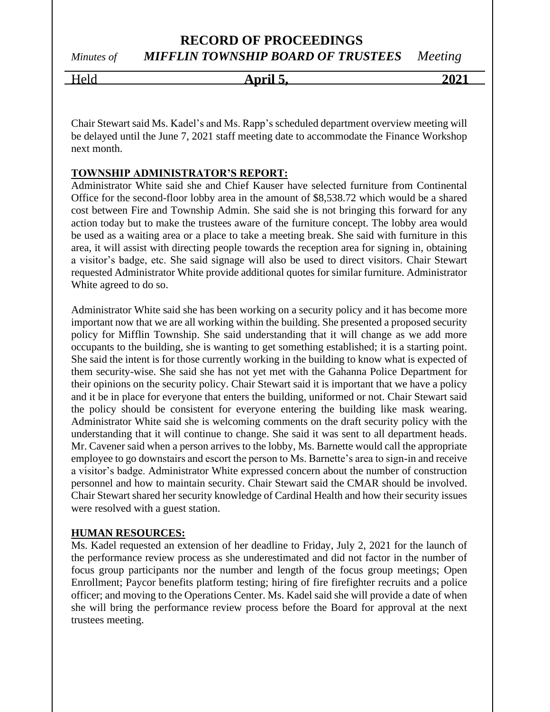# Held **April 5, 2021**

Chair Stewart said Ms. Kadel's and Ms. Rapp's scheduled department overview meeting will be delayed until the June 7, 2021 staff meeting date to accommodate the Finance Workshop next month.

#### **TOWNSHIP ADMINISTRATOR'S REPORT:**

Administrator White said she and Chief Kauser have selected furniture from Continental Office for the second-floor lobby area in the amount of \$8,538.72 which would be a shared cost between Fire and Township Admin. She said she is not bringing this forward for any action today but to make the trustees aware of the furniture concept. The lobby area would be used as a waiting area or a place to take a meeting break. She said with furniture in this area, it will assist with directing people towards the reception area for signing in, obtaining a visitor's badge, etc. She said signage will also be used to direct visitors. Chair Stewart requested Administrator White provide additional quotes for similar furniture. Administrator White agreed to do so.

Administrator White said she has been working on a security policy and it has become more important now that we are all working within the building. She presented a proposed security policy for Mifflin Township. She said understanding that it will change as we add more occupants to the building, she is wanting to get something established; it is a starting point. She said the intent is for those currently working in the building to know what is expected of them security-wise. She said she has not yet met with the Gahanna Police Department for their opinions on the security policy. Chair Stewart said it is important that we have a policy and it be in place for everyone that enters the building, uniformed or not. Chair Stewart said the policy should be consistent for everyone entering the building like mask wearing. Administrator White said she is welcoming comments on the draft security policy with the understanding that it will continue to change. She said it was sent to all department heads. Mr. Cavener said when a person arrives to the lobby, Ms. Barnette would call the appropriate employee to go downstairs and escort the person to Ms. Barnette's area to sign-in and receive a visitor's badge. Administrator White expressed concern about the number of construction personnel and how to maintain security. Chair Stewart said the CMAR should be involved. Chair Stewart shared her security knowledge of Cardinal Health and how their security issues were resolved with a guest station.

#### **HUMAN RESOURCES:**

Ms. Kadel requested an extension of her deadline to Friday, July 2, 2021 for the launch of the performance review process as she underestimated and did not factor in the number of focus group participants nor the number and length of the focus group meetings; Open Enrollment; Paycor benefits platform testing; hiring of fire firefighter recruits and a police officer; and moving to the Operations Center. Ms. Kadel said she will provide a date of when she will bring the performance review process before the Board for approval at the next trustees meeting.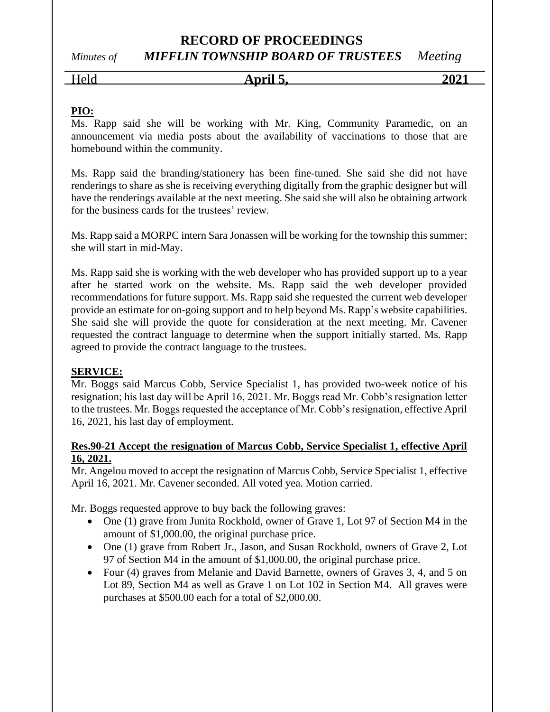# *Minutes of MIFFLIN TOWNSHIP BOARD OF TRUSTEES Meeting*

Held **April 5, 2021**

#### **PIO:**

Ms. Rapp said she will be working with Mr. King, Community Paramedic, on an announcement via media posts about the availability of vaccinations to those that are homebound within the community.

Ms. Rapp said the branding/stationery has been fine-tuned. She said she did not have renderings to share as she is receiving everything digitally from the graphic designer but will have the renderings available at the next meeting. She said she will also be obtaining artwork for the business cards for the trustees' review.

Ms. Rapp said a MORPC intern Sara Jonassen will be working for the township this summer; she will start in mid-May.

Ms. Rapp said she is working with the web developer who has provided support up to a year after he started work on the website. Ms. Rapp said the web developer provided recommendations for future support. Ms. Rapp said she requested the current web developer provide an estimate for on-going support and to help beyond Ms. Rapp's website capabilities. She said she will provide the quote for consideration at the next meeting. Mr. Cavener requested the contract language to determine when the support initially started. Ms. Rapp agreed to provide the contract language to the trustees.

#### **SERVICE:**

Mr. Boggs said Marcus Cobb, Service Specialist 1, has provided two-week notice of his resignation; his last day will be April 16, 2021. Mr. Boggs read Mr. Cobb's resignation letter to the trustees. Mr. Boggs requested the acceptance of Mr. Cobb's resignation, effective April 16, 2021, his last day of employment.

#### **Res.90-21 Accept the resignation of Marcus Cobb, Service Specialist 1, effective April 16, 2021.**

Mr. Angelou moved to accept the resignation of Marcus Cobb, Service Specialist 1, effective April 16, 2021. Mr. Cavener seconded. All voted yea. Motion carried.

Mr. Boggs requested approve to buy back the following graves:

- One (1) grave from Junita Rockhold, owner of Grave 1, Lot 97 of Section M4 in the amount of \$1,000.00, the original purchase price.
- One (1) grave from Robert Jr., Jason, and Susan Rockhold, owners of Grave 2, Lot 97 of Section M4 in the amount of \$1,000.00, the original purchase price.
- Four (4) graves from Melanie and David Barnette, owners of Graves 3, 4, and 5 on Lot 89, Section M4 as well as Grave 1 on Lot 102 in Section M4. All graves were purchases at \$500.00 each for a total of \$2,000.00.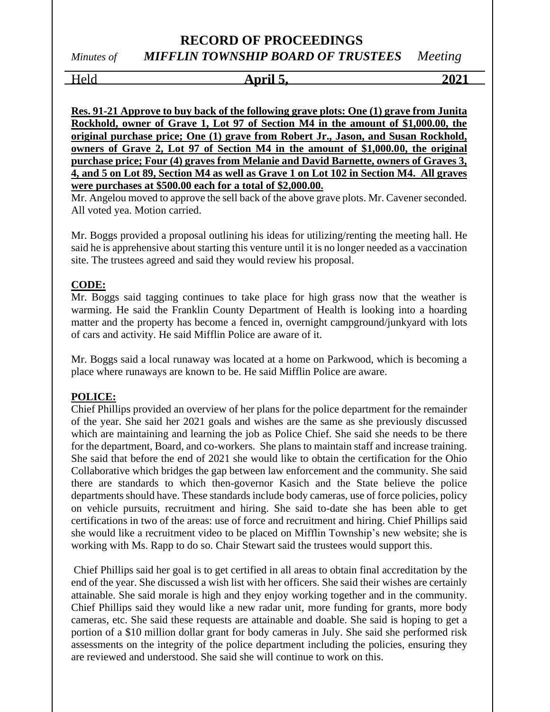Held **April 5, 2021**

**Res. 91-21 Approve to buy back of the following grave plots: One (1) grave from Junita Rockhold, owner of Grave 1, Lot 97 of Section M4 in the amount of \$1,000.00, the original purchase price; One (1) grave from Robert Jr., Jason, and Susan Rockhold, owners of Grave 2, Lot 97 of Section M4 in the amount of \$1,000.00, the original purchase price; Four (4) graves from Melanie and David Barnette, owners of Graves 3, 4, and 5 on Lot 89, Section M4 as well as Grave 1 on Lot 102 in Section M4. All graves were purchases at \$500.00 each for a total of \$2,000.00.**

Mr. Angelou moved to approve the sell back of the above grave plots. Mr. Cavener seconded. All voted yea. Motion carried.

Mr. Boggs provided a proposal outlining his ideas for utilizing/renting the meeting hall. He said he is apprehensive about starting this venture until it is no longer needed as a vaccination site. The trustees agreed and said they would review his proposal.

#### **CODE:**

Mr. Boggs said tagging continues to take place for high grass now that the weather is warming. He said the Franklin County Department of Health is looking into a hoarding matter and the property has become a fenced in, overnight campground/junkyard with lots of cars and activity. He said Mifflin Police are aware of it.

Mr. Boggs said a local runaway was located at a home on Parkwood, which is becoming a place where runaways are known to be. He said Mifflin Police are aware.

#### **POLICE:**

Chief Phillips provided an overview of her plans for the police department for the remainder of the year. She said her 2021 goals and wishes are the same as she previously discussed which are maintaining and learning the job as Police Chief. She said she needs to be there for the department, Board, and co-workers. She plans to maintain staff and increase training. She said that before the end of 2021 she would like to obtain the certification for the Ohio Collaborative which bridges the gap between law enforcement and the community. She said there are standards to which then-governor Kasich and the State believe the police departments should have. These standards include body cameras, use of force policies, policy on vehicle pursuits, recruitment and hiring. She said to-date she has been able to get certifications in two of the areas: use of force and recruitment and hiring. Chief Phillips said she would like a recruitment video to be placed on Mifflin Township's new website; she is working with Ms. Rapp to do so. Chair Stewart said the trustees would support this.

Chief Phillips said her goal is to get certified in all areas to obtain final accreditation by the end of the year. She discussed a wish list with her officers. She said their wishes are certainly attainable. She said morale is high and they enjoy working together and in the community. Chief Phillips said they would like a new radar unit, more funding for grants, more body cameras, etc. She said these requests are attainable and doable. She said is hoping to get a portion of a \$10 million dollar grant for body cameras in July. She said she performed risk assessments on the integrity of the police department including the policies, ensuring they are reviewed and understood. She said she will continue to work on this.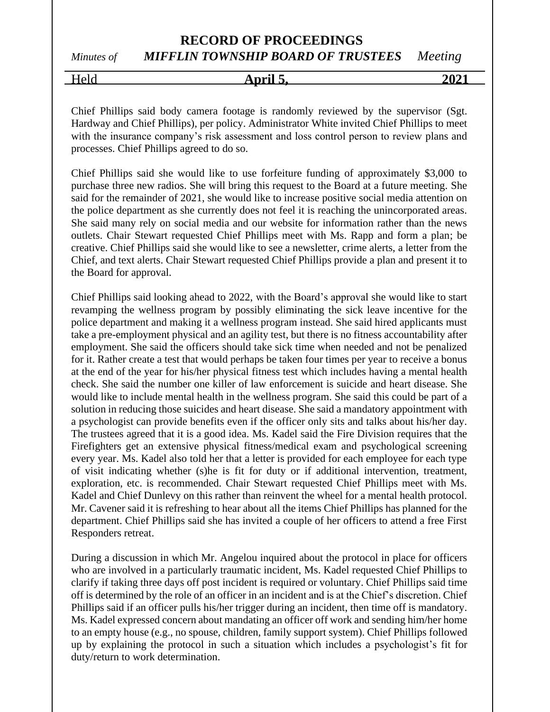*Minutes of MIFFLIN TOWNSHIP BOARD OF TRUSTEES Meeting*

Held **April 5, 2021**

Chief Phillips said body camera footage is randomly reviewed by the supervisor (Sgt. Hardway and Chief Phillips), per policy. Administrator White invited Chief Phillips to meet with the insurance company's risk assessment and loss control person to review plans and processes. Chief Phillips agreed to do so.

Chief Phillips said she would like to use forfeiture funding of approximately \$3,000 to purchase three new radios. She will bring this request to the Board at a future meeting. She said for the remainder of 2021, she would like to increase positive social media attention on the police department as she currently does not feel it is reaching the unincorporated areas. She said many rely on social media and our website for information rather than the news outlets. Chair Stewart requested Chief Phillips meet with Ms. Rapp and form a plan; be creative. Chief Phillips said she would like to see a newsletter, crime alerts, a letter from the Chief, and text alerts. Chair Stewart requested Chief Phillips provide a plan and present it to the Board for approval.

Chief Phillips said looking ahead to 2022, with the Board's approval she would like to start revamping the wellness program by possibly eliminating the sick leave incentive for the police department and making it a wellness program instead. She said hired applicants must take a pre-employment physical and an agility test, but there is no fitness accountability after employment. She said the officers should take sick time when needed and not be penalized for it. Rather create a test that would perhaps be taken four times per year to receive a bonus at the end of the year for his/her physical fitness test which includes having a mental health check. She said the number one killer of law enforcement is suicide and heart disease. She would like to include mental health in the wellness program. She said this could be part of a solution in reducing those suicides and heart disease. She said a mandatory appointment with a psychologist can provide benefits even if the officer only sits and talks about his/her day. The trustees agreed that it is a good idea. Ms. Kadel said the Fire Division requires that the Firefighters get an extensive physical fitness/medical exam and psychological screening every year. Ms. Kadel also told her that a letter is provided for each employee for each type of visit indicating whether (s)he is fit for duty or if additional intervention, treatment, exploration, etc. is recommended. Chair Stewart requested Chief Phillips meet with Ms. Kadel and Chief Dunlevy on this rather than reinvent the wheel for a mental health protocol. Mr. Cavener said it is refreshing to hear about all the items Chief Phillips has planned for the department. Chief Phillips said she has invited a couple of her officers to attend a free First Responders retreat.

During a discussion in which Mr. Angelou inquired about the protocol in place for officers who are involved in a particularly traumatic incident, Ms. Kadel requested Chief Phillips to clarify if taking three days off post incident is required or voluntary. Chief Phillips said time off is determined by the role of an officer in an incident and is at the Chief's discretion. Chief Phillips said if an officer pulls his/her trigger during an incident, then time off is mandatory. Ms. Kadel expressed concern about mandating an officer off work and sending him/her home to an empty house (e.g., no spouse, children, family support system). Chief Phillips followed up by explaining the protocol in such a situation which includes a psychologist's fit for duty/return to work determination.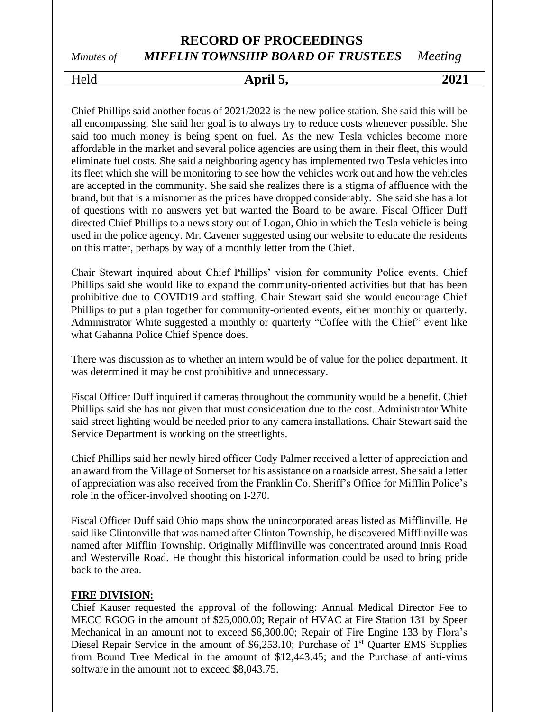# Held **April 5, 2021**

Chief Phillips said another focus of 2021/2022 is the new police station. She said this will be all encompassing. She said her goal is to always try to reduce costs whenever possible. She said too much money is being spent on fuel. As the new Tesla vehicles become more affordable in the market and several police agencies are using them in their fleet, this would eliminate fuel costs. She said a neighboring agency has implemented two Tesla vehicles into its fleet which she will be monitoring to see how the vehicles work out and how the vehicles are accepted in the community. She said she realizes there is a stigma of affluence with the brand, but that is a misnomer as the prices have dropped considerably. She said she has a lot of questions with no answers yet but wanted the Board to be aware. Fiscal Officer Duff directed Chief Phillips to a news story out of Logan, Ohio in which the Tesla vehicle is being used in the police agency. Mr. Cavener suggested using our website to educate the residents on this matter, perhaps by way of a monthly letter from the Chief.

Chair Stewart inquired about Chief Phillips' vision for community Police events. Chief Phillips said she would like to expand the community-oriented activities but that has been prohibitive due to COVID19 and staffing. Chair Stewart said she would encourage Chief Phillips to put a plan together for community-oriented events, either monthly or quarterly. Administrator White suggested a monthly or quarterly "Coffee with the Chief" event like what Gahanna Police Chief Spence does.

There was discussion as to whether an intern would be of value for the police department. It was determined it may be cost prohibitive and unnecessary.

Fiscal Officer Duff inquired if cameras throughout the community would be a benefit. Chief Phillips said she has not given that must consideration due to the cost. Administrator White said street lighting would be needed prior to any camera installations. Chair Stewart said the Service Department is working on the streetlights.

Chief Phillips said her newly hired officer Cody Palmer received a letter of appreciation and an award from the Village of Somerset for his assistance on a roadside arrest. She said a letter of appreciation was also received from the Franklin Co. Sheriff's Office for Mifflin Police's role in the officer-involved shooting on I-270.

Fiscal Officer Duff said Ohio maps show the unincorporated areas listed as Mifflinville. He said like Clintonville that was named after Clinton Township, he discovered Mifflinville was named after Mifflin Township. Originally Mifflinville was concentrated around Innis Road and Westerville Road. He thought this historical information could be used to bring pride back to the area.

#### **FIRE DIVISION:**

Chief Kauser requested the approval of the following: Annual Medical Director Fee to MECC RGOG in the amount of \$25,000.00; Repair of HVAC at Fire Station 131 by Speer Mechanical in an amount not to exceed \$6,300.00; Repair of Fire Engine 133 by Flora's Diesel Repair Service in the amount of  $$6,253.10$ ; Purchase of  $1<sup>st</sup>$  Quarter EMS Supplies from Bound Tree Medical in the amount of \$12,443.45; and the Purchase of anti-virus software in the amount not to exceed \$8,043.75.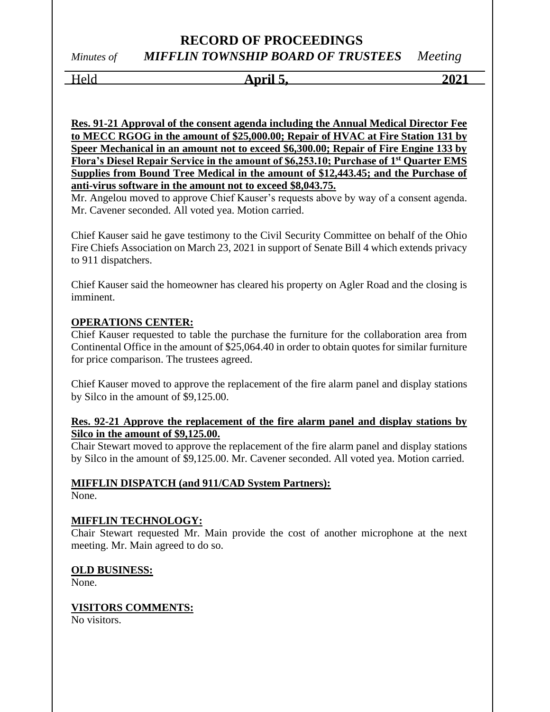# Held **April 5, 2021**

**Res. 91-21 Approval of the consent agenda including the Annual Medical Director Fee to MECC RGOG in the amount of \$25,000.00; Repair of HVAC at Fire Station 131 by Speer Mechanical in an amount not to exceed \$6,300.00; Repair of Fire Engine 133 by Flora's Diesel Repair Service in the amount of \$6,253.10; Purchase of 1st Quarter EMS Supplies from Bound Tree Medical in the amount of \$12,443.45; and the Purchase of anti-virus software in the amount not to exceed \$8,043.75.**

Mr. Angelou moved to approve Chief Kauser's requests above by way of a consent agenda. Mr. Cavener seconded. All voted yea. Motion carried.

Chief Kauser said he gave testimony to the Civil Security Committee on behalf of the Ohio Fire Chiefs Association on March 23, 2021 in support of Senate Bill 4 which extends privacy to 911 dispatchers.

Chief Kauser said the homeowner has cleared his property on Agler Road and the closing is imminent.

#### **OPERATIONS CENTER:**

Chief Kauser requested to table the purchase the furniture for the collaboration area from Continental Office in the amount of \$25,064.40 in order to obtain quotes for similar furniture for price comparison. The trustees agreed.

Chief Kauser moved to approve the replacement of the fire alarm panel and display stations by Silco in the amount of \$9,125.00.

#### **Res. 92-21 Approve the replacement of the fire alarm panel and display stations by Silco in the amount of \$9,125.00.**

Chair Stewart moved to approve the replacement of the fire alarm panel and display stations by Silco in the amount of \$9,125.00. Mr. Cavener seconded. All voted yea. Motion carried.

#### **MIFFLIN DISPATCH (and 911/CAD System Partners):**

None.

#### **MIFFLIN TECHNOLOGY:**

Chair Stewart requested Mr. Main provide the cost of another microphone at the next meeting. Mr. Main agreed to do so.

#### **OLD BUSINESS:**

None.

#### **VISITORS COMMENTS:**

No visitors.